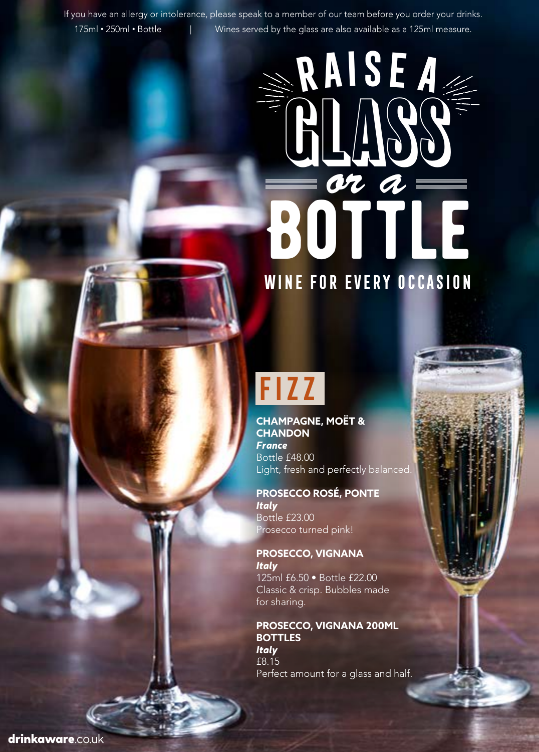If you have an allergy or intolerance, please speak to a member of our team before you order your drinks. 175ml • 250ml • Bottle | Wines served by the glass are also available as a 125ml measure.

# **BOTTLE Raisea** GLASS *or a* **Wine for every occasion**

## **Fizz**

**CHAMPAGNE, MOËT & CHANDON**  *France* Bottle £48.00 Light, fresh and perfectly balanced.

**PROSECCO ROSÉ, PONTE** *Italy* Bottle £23.00 Prosecco turned pink!

**PROSECCO, VIGNANA** *Italy*  125ml £6.50 • Bottle £22.00 Classic & crisp. Bubbles made for sharing.

**PROSECCO, VIGNANA 200ML BOTTLES** *Italy*  £8.15 Perfect amount for a glass and half.